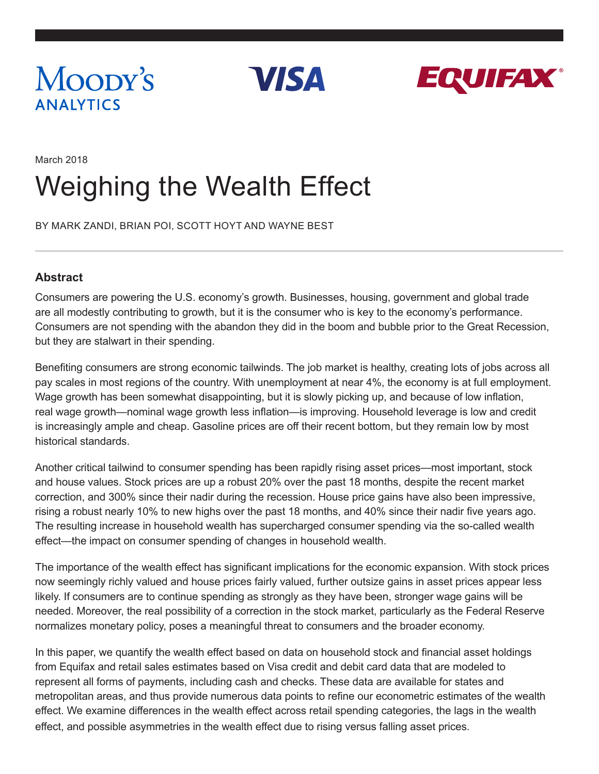

**VISA** 



## March 2018 Weighing the Wealth Effect

BY MARK ZANDI, BRIAN POI, SCOTT HOYT AND WAYNE BEST

#### **Abstract**

Consumers are powering the U.S. economy's growth. Businesses, housing, government and global trade are all modestly contributing to growth, but it is the consumer who is key to the economy's performance. Consumers are not spending with the abandon they did in the boom and bubble prior to the Great Recession, but they are stalwart in their spending.

Benefiting consumers are strong economic tailwinds. The job market is healthy, creating lots of jobs across all pay scales in most regions of the country. With unemployment at near 4%, the economy is at full employment. Wage growth has been somewhat disappointing, but it is slowly picking up, and because of low inflation, real wage growth—nominal wage growth less inflation—is improving. Household leverage is low and credit is increasingly ample and cheap. Gasoline prices are off their recent bottom, but they remain low by most historical standards.

Another critical tailwind to consumer spending has been rapidly rising asset prices—most important, stock and house values. Stock prices are up a robust 20% over the past 18 months, despite the recent market correction, and 300% since their nadir during the recession. House price gains have also been impressive, rising a robust nearly 10% to new highs over the past 18 months, and 40% since their nadir five years ago. The resulting increase in household wealth has supercharged consumer spending via the so-called wealth effect—the impact on consumer spending of changes in household wealth.

The importance of the wealth effect has significant implications for the economic expansion. With stock prices now seemingly richly valued and house prices fairly valued, further outsize gains in asset prices appear less likely. If consumers are to continue spending as strongly as they have been, stronger wage gains will be needed. Moreover, the real possibility of a correction in the stock market, particularly as the Federal Reserve normalizes monetary policy, poses a meaningful threat to consumers and the broader economy.

In this paper, we quantify the wealth effect based on data on household stock and financial asset holdings from Equifax and retail sales estimates based on Visa credit and debit card data that are modeled to represent all forms of payments, including cash and checks. These data are available for states and metropolitan areas, and thus provide numerous data points to refine our econometric estimates of the wealth effect. We examine differences in the wealth effect across retail spending categories, the lags in the wealth effect, and possible asymmetries in the wealth effect due to rising versus falling asset prices.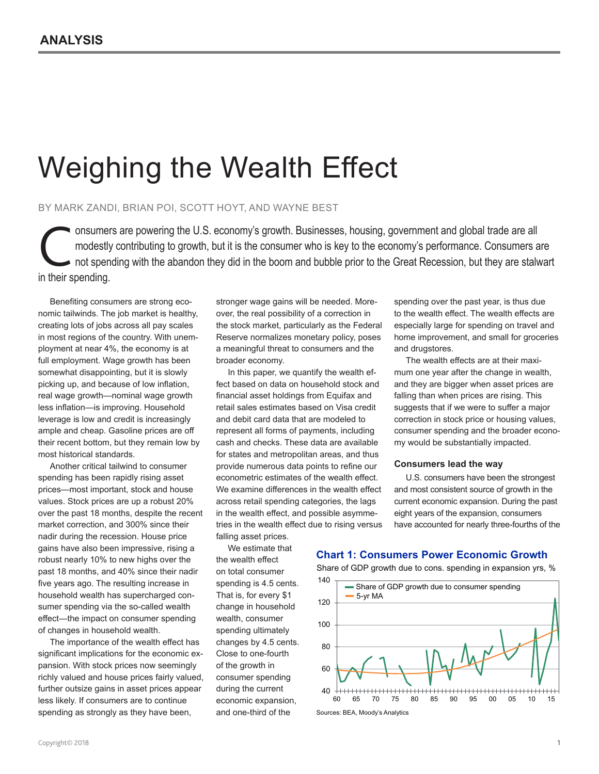# Weighing the Wealth Effect

#### BY MARK ZANDI, BRIAN POI, SCOTT HOYT, AND WAYNE BEST

onsumers are powering the U.S. economy's growth. Businesses, housing, government and global trade are all modestly contributing to growth, but it is the consumer who is key to the economy's performance. Consumers a not spe modestly contributing to growth, but it is the consumer who is key to the economy's performance. Consumers are not spending with the abandon they did in the boom and bubble prior to the Great Recession, but they are stalwart in their spending.

Benefiting consumers are strong economic tailwinds. The job market is healthy, creating lots of jobs across all pay scales in most regions of the country. With unemployment at near 4%, the economy is at full employment. Wage growth has been somewhat disappointing, but it is slowly picking up, and because of low inflation, real wage growth—nominal wage growth less inflation—is improving. Household leverage is low and credit is increasingly ample and cheap. Gasoline prices are off their recent bottom, but they remain low by most historical standards.

Another critical tailwind to consumer spending has been rapidly rising asset prices—most important, stock and house values. Stock prices are up a robust 20% over the past 18 months, despite the recent market correction, and 300% since their nadir during the recession. House price gains have also been impressive, rising a robust nearly 10% to new highs over the past 18 months, and 40% since their nadir five years ago. The resulting increase in household wealth has supercharged consumer spending via the so-called wealth effect—the impact on consumer spending of changes in household wealth.

The importance of the wealth effect has significant implications for the economic expansion. With stock prices now seemingly richly valued and house prices fairly valued, further outsize gains in asset prices appear less likely. If consumers are to continue spending as strongly as they have been,

stronger wage gains will be needed. Moreover, the real possibility of a correction in the stock market, particularly as the Federal Reserve normalizes monetary policy, poses a meaningful threat to consumers and the broader economy.

In this paper, we quantify the wealth effect based on data on household stock and financial asset holdings from Equifax and retail sales estimates based on Visa credit and debit card data that are modeled to represent all forms of payments, including cash and checks. These data are available for states and metropolitan areas, and thus provide numerous data points to refine our econometric estimates of the wealth effect. We examine differences in the wealth effect across retail spending categories, the lags in the wealth effect, and possible asymmetries in the wealth effect due to rising versus falling asset prices.

We estimate that the wealth effect on total consumer spending is 4.5 cents. That is, for every \$1 change in household wealth, consumer spending ultimately changes by 4.5 cents. Close to one-fourth of the growth in consumer spending during the current economic expansion,

and one-third of the

spending over the past year, is thus due to the wealth effect. The wealth effects are especially large for spending on travel and home improvement, and small for groceries and drugstores.

The wealth effects are at their maximum one year after the change in wealth, and they are bigger when asset prices are falling than when prices are rising. This suggests that if we were to suffer a major correction in stock price or housing values, consumer spending and the broader economy would be substantially impacted.

#### **Consumers lead the way**

U.S. consumers have been the strongest and most consistent source of growth in the current economic expansion. During the past eight years of the expansion, consumers have accounted for nearly three-fourths of the

**Chart 1: Consumers Power Economic Growth**

Share of GDP growth due to cons. spending in expansion yrs, %



Sources: BEA, Moody's Analytics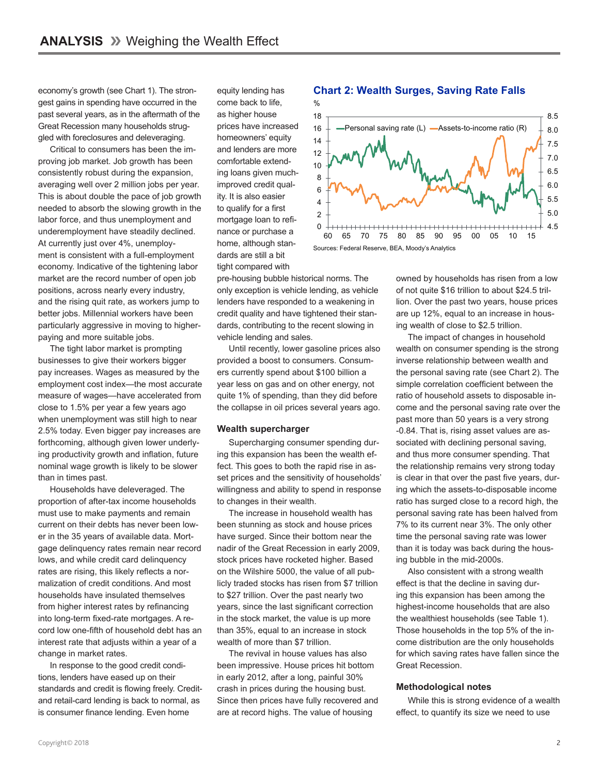economy's growth (see Chart 1). The strongest gains in spending have occurred in the past several years, as in the aftermath of the Great Recession many households struggled with foreclosures and deleveraging.

Critical to consumers has been the improving job market. Job growth has been consistently robust during the expansion, averaging well over 2 million jobs per year. This is about double the pace of job growth needed to absorb the slowing growth in the labor force, and thus unemployment and underemployment have steadily declined. At currently just over 4%, unemployment is consistent with a full-employment economy. Indicative of the tightening labor market are the record number of open job positions, across nearly every industry, and the rising quit rate, as workers jump to better jobs. Millennial workers have been particularly aggressive in moving to higherpaying and more suitable jobs.

The tight labor market is prompting businesses to give their workers bigger pay increases. Wages as measured by the employment cost index—the most accurate measure of wages—have accelerated from close to 1.5% per year a few years ago when unemployment was still high to near 2.5% today. Even bigger pay increases are forthcoming, although given lower underlying productivity growth and inflation, future nominal wage growth is likely to be slower than in times past.

Households have deleveraged. The proportion of after-tax income households must use to make payments and remain current on their debts has never been lower in the 35 years of available data. Mortgage delinquency rates remain near record lows, and while credit card delinquency rates are rising, this likely reflects a normalization of credit conditions. And most households have insulated themselves from higher interest rates by refinancing into long-term fixed-rate mortgages. A record low one-fifth of household debt has an interest rate that adjusts within a year of a change in market rates.

In response to the good credit conditions, lenders have eased up on their standards and credit is flowing freely. Creditand retail-card lending is back to normal, as is consumer finance lending. Even home

equity lending has come back to life, as higher house prices have increased homeowners' equity and lenders are more comfortable extending loans given muchimproved credit quality. It is also easier to qualify for a first mortgage loan to refinance or purchase a home, although standards are still a bit tight compared with

pre-housing bubble historical norms. The only exception is vehicle lending, as vehicle lenders have responded to a weakening in credit quality and have tightened their standards, contributing to the recent slowing in vehicle lending and sales.

Until recently, lower gasoline prices also provided a boost to consumers. Consumers currently spend about \$100 billion a year less on gas and on other energy, not quite 1% of spending, than they did before the collapse in oil prices several years ago.

#### **Wealth supercharger**

Supercharging consumer spending during this expansion has been the wealth effect. This goes to both the rapid rise in asset prices and the sensitivity of households' willingness and ability to spend in response to changes in their wealth.

The increase in household wealth has been stunning as stock and house prices have surged. Since their bottom near the nadir of the Great Recession in early 2009, stock prices have rocketed higher. Based on the Wilshire 5000, the value of all publicly traded stocks has risen from \$7 trillion to \$27 trillion. Over the past nearly two years, since the last significant correction in the stock market, the value is up more than 35%, equal to an increase in stock wealth of more than \$7 trillion.

The revival in house values has also been impressive. House prices hit bottom in early 2012, after a long, painful 30% crash in prices during the housing bust. Since then prices have fully recovered and are at record highs. The value of housing

#### **Chart 2: Wealth Surges, Saving Rate Falls**



owned by households has risen from a low of not quite \$16 trillion to about \$24.5 trillion. Over the past two years, house prices are up 12%, equal to an increase in housing wealth of close to \$2.5 trillion.

The impact of changes in household wealth on consumer spending is the strong inverse relationship between wealth and the personal saving rate (see Chart 2). The simple correlation coefficient between the ratio of household assets to disposable income and the personal saving rate over the past more than 50 years is a very strong -0.84. That is, rising asset values are associated with declining personal saving, and thus more consumer spending. That the relationship remains very strong today is clear in that over the past five years, during which the assets-to-disposable income ratio has surged close to a record high, the personal saving rate has been halved from 7% to its current near 3%. The only other time the personal saving rate was lower than it is today was back during the housing bubble in the mid-2000s.

Also consistent with a strong wealth effect is that the decline in saving during this expansion has been among the highest-income households that are also the wealthiest households (see Table 1). Those households in the top 5% of the income distribution are the only households for which saving rates have fallen since the Great Recession.

#### **Methodological notes**

While this is strong evidence of a wealth effect, to quantify its size we need to use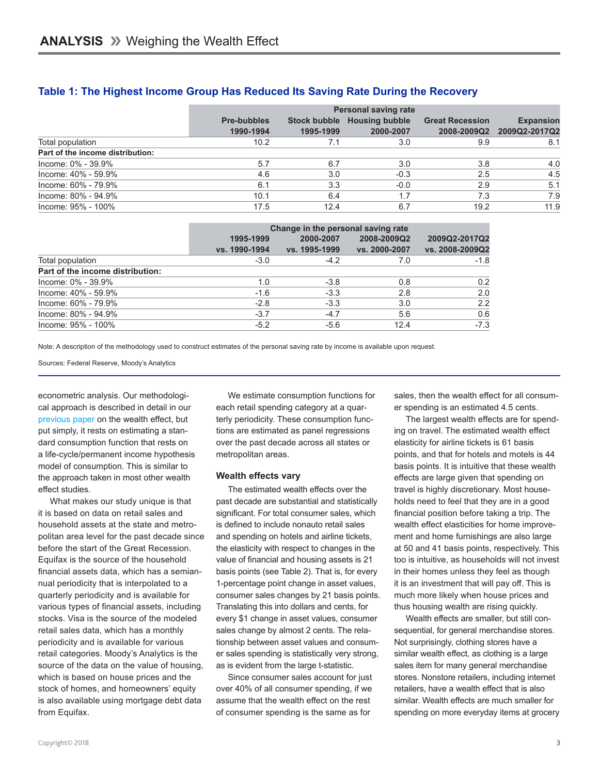|                                  | <b>Personal saving rate</b>     |                                  |                                    |                                       |                                   |
|----------------------------------|---------------------------------|----------------------------------|------------------------------------|---------------------------------------|-----------------------------------|
|                                  | <b>Pre-bubbles</b><br>1990-1994 | <b>Stock bubble</b><br>1995-1999 | <b>Housing bubble</b><br>2000-2007 | <b>Great Recession</b><br>2008-2009Q2 | <b>Expansion</b><br>2009Q2-2017Q2 |
| Total population                 | 10.2                            | 7.1                              | 3.0                                | 9.9                                   | 8.1                               |
| Part of the income distribution: |                                 |                                  |                                    |                                       |                                   |
| Income: 0% - 39.9%               | 5.7                             | 6.7                              | 3.0                                | 3.8                                   | 4.0                               |
| Income: 40% - 59.9%              | 4.6                             | 3.0                              | $-0.3$                             | 2.5                                   | 4.5                               |
| Income: 60% - 79.9%              | 6.1                             | 3.3                              | $-0.0$                             | 2.9                                   | 5.1                               |
| Income: 80% - 94.9%              | 10.1                            | 6.4                              | 1.7                                | 7.3                                   | 7.9                               |
| Income: 95% - 100%               | 17.5                            | 12.4                             | 6.7                                | 19.2                                  | 11.9                              |

#### **Table 1: The Highest Income Group Has Reduced Its Saving Rate During the Recovery**

|                                  | Change in the personal saving rate |                            |                              |                                  |  |
|----------------------------------|------------------------------------|----------------------------|------------------------------|----------------------------------|--|
|                                  | 1995-1999<br>vs. 1990-1994         | 2000-2007<br>vs. 1995-1999 | 2008-2009Q2<br>vs. 2000-2007 | 2009Q2-2017Q2<br>vs. 2008-2009Q2 |  |
| Total population                 | $-3.0$                             | $-4.2$                     | 7.0                          | $-1.8$                           |  |
| Part of the income distribution: |                                    |                            |                              |                                  |  |
| $Income: 0\% - 39.9\%$           | 1.0                                | $-3.8$                     | 0.8                          | 0.2                              |  |
| Income: 40% - 59.9%              | $-1.6$                             | $-3.3$                     | 2.8                          | 2.0                              |  |
| Income: 60% - 79.9%              | $-2.8$                             | $-3.3$                     | 3.0                          | 2.2                              |  |
| Income: 80% - 94.9%              | $-3.7$                             | $-4.7$                     | 5.6                          | 0.6                              |  |
| Income: 95% - 100%               | $-5.2$                             | $-5.6$                     | 12.4                         | $-7.3$                           |  |

Note: A description of the methodology used to construct estimates of the personal saving rate by income is available upon request.

Sources: Federal Reserve, Moody's Analytics

econometric analysis. Our methodological approach is described in detail in our [previous paper](https://www.economy.com/mark-zandi/documents/2015-10-10-Wealth-Matters-A-Lot.pdf) on the wealth effect, but put simply, it rests on estimating a standard consumption function that rests on a life-cycle/permanent income hypothesis model of consumption. This is similar to the approach taken in most other wealth effect studies.

What makes our study unique is that it is based on data on retail sales and household assets at the state and metropolitan area level for the past decade since before the start of the Great Recession. Equifax is the source of the household financial assets data, which has a semiannual periodicity that is interpolated to a quarterly periodicity and is available for various types of financial assets, including stocks. Visa is the source of the modeled retail sales data, which has a monthly periodicity and is available for various retail categories. Moody's Analytics is the source of the data on the value of housing, which is based on house prices and the stock of homes, and homeowners' equity is also available using mortgage debt data from Equifax.

We estimate consumption functions for each retail spending category at a quarterly periodicity. These consumption functions are estimated as panel regressions over the past decade across all states or metropolitan areas.

#### **Wealth effects vary**

The estimated wealth effects over the past decade are substantial and statistically significant. For total consumer sales, which is defined to include nonauto retail sales and spending on hotels and airline tickets, the elasticity with respect to changes in the value of financial and housing assets is 21 basis points (see Table 2). That is, for every 1-percentage point change in asset values, consumer sales changes by 21 basis points. Translating this into dollars and cents, for every \$1 change in asset values, consumer sales change by almost 2 cents. The relationship between asset values and consumer sales spending is statistically very strong, as is evident from the large t-statistic.

Since consumer sales account for just over 40% of all consumer spending, if we assume that the wealth effect on the rest of consumer spending is the same as for

sales, then the wealth effect for all consumer spending is an estimated 4.5 cents.

The largest wealth effects are for spending on travel. The estimated wealth effect elasticity for airline tickets is 61 basis points, and that for hotels and motels is 44 basis points. It is intuitive that these wealth effects are large given that spending on travel is highly discretionary. Most households need to feel that they are in a good financial position before taking a trip. The wealth effect elasticities for home improvement and home furnishings are also large at 50 and 41 basis points, respectively. This too is intuitive, as households will not invest in their homes unless they feel as though it is an investment that will pay off. This is much more likely when house prices and thus housing wealth are rising quickly.

Wealth effects are smaller, but still consequential, for general merchandise stores. Not surprisingly, clothing stores have a similar wealth effect, as clothing is a large sales item for many general merchandise stores. Nonstore retailers, including internet retailers, have a wealth effect that is also similar. Wealth effects are much smaller for spending on more everyday items at grocery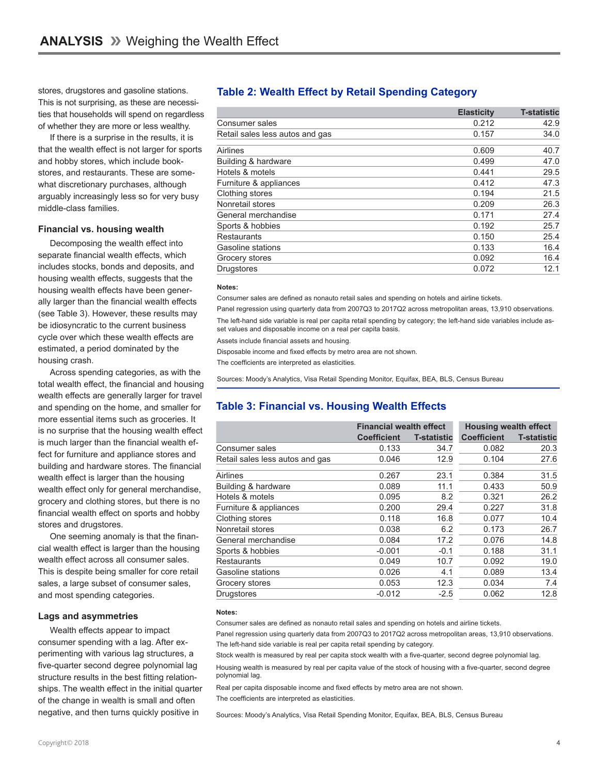stores, drugstores and gasoline stations. This is not surprising, as these are necessities that households will spend on regardless of whether they are more or less wealthy.

If there is a surprise in the results, it is that the wealth effect is not larger for sports and hobby stores, which include bookstores, and restaurants. These are somewhat discretionary purchases, although arguably increasingly less so for very busy middle-class families.

#### **Financial vs. housing wealth**

Decomposing the wealth effect into separate financial wealth effects, which includes stocks, bonds and deposits, and housing wealth effects, suggests that the housing wealth effects have been generally larger than the financial wealth effects (see Table 3). However, these results may be idiosyncratic to the current business cycle over which these wealth effects are estimated, a period dominated by the housing crash.

Across spending categories, as with the total wealth effect, the financial and housing wealth effects are generally larger for travel and spending on the home, and smaller for more essential items such as groceries. It is no surprise that the housing wealth effect is much larger than the financial wealth effect for furniture and appliance stores and building and hardware stores. The financial wealth effect is larger than the housing wealth effect only for general merchandise, grocery and clothing stores, but there is no financial wealth effect on sports and hobby stores and drugstores.

One seeming anomaly is that the financial wealth effect is larger than the housing wealth effect across all consumer sales. This is despite being smaller for core retail sales, a large subset of consumer sales, and most spending categories.

#### **Lags and asymmetries**

Wealth effects appear to impact consumer spending with a lag. After experimenting with various lag structures, a five-quarter second degree polynomial lag structure results in the best fitting relationships. The wealth effect in the initial quarter of the change in wealth is small and often negative, and then turns quickly positive in

#### **Table 2: Wealth Effect by Retail Spending Category**

|                                 | <b>Elasticity</b> | <b>T-statistic</b> |
|---------------------------------|-------------------|--------------------|
| Consumer sales                  | 0.212             | 42.9               |
| Retail sales less autos and gas | 0.157             | 34.0               |
| Airlines                        | 0.609             | 40.7               |
| Building & hardware             | 0.499             | 47.0               |
| Hotels & motels                 | 0.441             | 29.5               |
| Furniture & appliances          | 0.412             | 47.3               |
| Clothing stores                 | 0.194             | 21.5               |
| Nonretail stores                | 0.209             | 26.3               |
| General merchandise             | 0.171             | 27.4               |
| Sports & hobbies                | 0.192             | 25.7               |
| Restaurants                     | 0.150             | 25.4               |
| Gasoline stations               | 0.133             | 16.4               |
| Grocery stores                  | 0.092             | 16.4               |
| <b>Drugstores</b>               | 0.072             | 12.1               |

#### **Notes:**

Consumer sales are defined as nonauto retail sales and spending on hotels and airline tickets.

Panel regression using quarterly data from 2007Q3 to 2017Q2 across metropolitan areas, 13,910 observations. The left-hand side variable is real per capita retail spending by category; the left-hand side variables include as-

set values and disposable income on a real per capita basis.

Assets include financial assets and housing.

Disposable income and fixed effects by metro area are not shown.

The coefficients are interpreted as elasticities.

Sources: Moody's Analytics, Visa Retail Spending Monitor, Equifax, BEA, BLS, Census Bureau

#### **Table 3: Financial vs. Housing Wealth Effects**

|                                 | <b>Financial wealth effect</b> |                    | <b>Housing wealth effect</b> |                    |
|---------------------------------|--------------------------------|--------------------|------------------------------|--------------------|
|                                 | <b>Coefficient</b>             | <b>T-statistic</b> | <b>Coefficient</b>           | <b>T-statistic</b> |
| Consumer sales                  | 0.133                          | 34.7               | 0.082                        | 20.3               |
| Retail sales less autos and gas | 0.046                          | 12.9               | 0.104                        | 27.6               |
| Airlines                        | 0.267                          | 23.1               | 0.384                        | 31.5               |
| Building & hardware             | 0.089                          | 11.1               | 0.433                        | 50.9               |
| Hotels & motels                 | 0.095                          | 8.2                | 0.321                        | 26.2               |
| Furniture & appliances          | 0.200                          | 29.4               | 0.227                        | 31.8               |
| Clothing stores                 | 0.118                          | 16.8               | 0.077                        | 10.4               |
| Nonretail stores                | 0.038                          | 6.2                | 0.173                        | 26.7               |
| General merchandise             | 0.084                          | 17.2               | 0.076                        | 14.8               |
| Sports & hobbies                | $-0.001$                       | $-0.1$             | 0.188                        | 31.1               |
| <b>Restaurants</b>              | 0.049                          | 10.7               | 0.092                        | 19.0               |
| Gasoline stations               | 0.026                          | 4.1                | 0.089                        | 13.4               |
| Grocery stores                  | 0.053                          | 12.3               | 0.034                        | 7.4                |
| <b>Drugstores</b>               | $-0.012$                       | $-2.5$             | 0.062                        | 12.8               |

#### **Notes:**

Consumer sales are defined as nonauto retail sales and spending on hotels and airline tickets.

Panel regression using quarterly data from 2007Q3 to 2017Q2 across metropolitan areas, 13,910 observations. The left-hand side variable is real per capita retail spending by category.

Stock wealth is measured by real per capita stock wealth with a five-quarter, second degree polynomial lag.

Housing wealth is measured by real per capita value of the stock of housing with a five-quarter, second degree polynomial lag.

Real per capita disposable income and fixed effects by metro area are not shown. The coefficients are interpreted as elasticities.

Sources: Moody's Analytics, Visa Retail Spending Monitor, Equifax, BEA, BLS, Census Bureau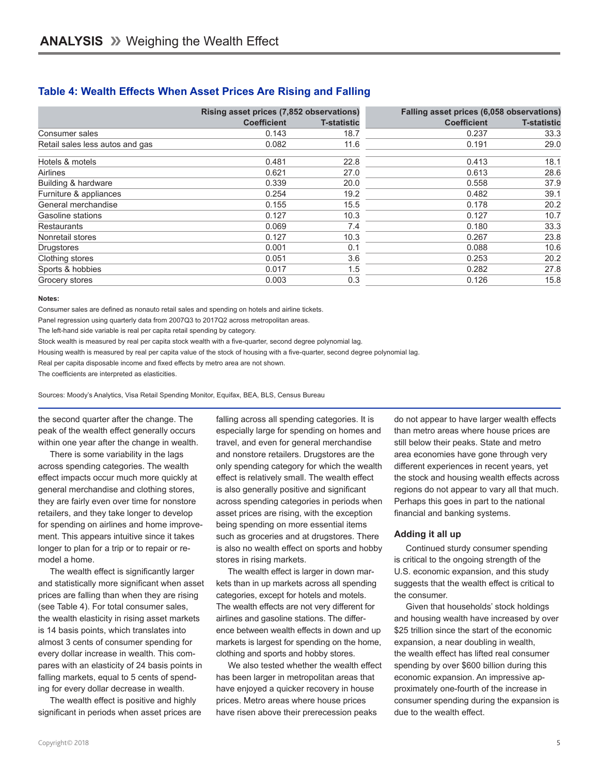#### **Table 4: Wealth Effects When Asset Prices Are Rising and Falling**

|                                 | Rising asset prices (7,852 observations) |                    | Falling asset prices (6,058 observations) |                    |
|---------------------------------|------------------------------------------|--------------------|-------------------------------------------|--------------------|
|                                 | <b>Coefficient</b>                       | <b>T-statistic</b> | <b>Coefficient</b>                        | <b>T-statistic</b> |
| Consumer sales                  | 0.143                                    | 18.7               | 0.237                                     | 33.3               |
| Retail sales less autos and gas | 0.082                                    | 11.6               | 0.191                                     | 29.0               |
| Hotels & motels                 | 0.481                                    | 22.8               | 0.413                                     | 18.1               |
| Airlines                        | 0.621                                    | 27.0               | 0.613                                     | 28.6               |
| Building & hardware             | 0.339                                    | 20.0               | 0.558                                     | 37.9               |
| Furniture & appliances          | 0.254                                    | 19.2               | 0.482                                     | 39.1               |
| General merchandise             | 0.155                                    | 15.5               | 0.178                                     | 20.2               |
| Gasoline stations               | 0.127                                    | 10.3               | 0.127                                     | 10.7               |
| <b>Restaurants</b>              | 0.069                                    | 7.4                | 0.180                                     | 33.3               |
| Nonretail stores                | 0.127                                    | 10.3               | 0.267                                     | 23.8               |
| <b>Drugstores</b>               | 0.001                                    | 0.1                | 0.088                                     | 10.6               |
| Clothing stores                 | 0.051                                    | 3.6                | 0.253                                     | 20.2               |
| Sports & hobbies                | 0.017                                    | 1.5                | 0.282                                     | 27.8               |
| Grocery stores                  | 0.003                                    | 0.3                | 0.126                                     | 15.8               |

#### **Notes:**

Consumer sales are defined as nonauto retail sales and spending on hotels and airline tickets.

Panel regression using quarterly data from 2007Q3 to 2017Q2 across metropolitan areas.

The left-hand side variable is real per capita retail spending by category.

Stock wealth is measured by real per capita stock wealth with a five-quarter, second degree polynomial lag.

Housing wealth is measured by real per capita value of the stock of housing with a five-quarter, second degree polynomial lag.

Real per capita disposable income and fixed effects by metro area are not shown.

The coefficients are interpreted as elasticities.

Sources: Moody's Analytics, Visa Retail Spending Monitor, Equifax, BEA, BLS, Census Bureau

the second quarter after the change. The peak of the wealth effect generally occurs within one year after the change in wealth.

There is some variability in the lags across spending categories. The wealth effect impacts occur much more quickly at general merchandise and clothing stores, they are fairly even over time for nonstore retailers, and they take longer to develop for spending on airlines and home improvement. This appears intuitive since it takes longer to plan for a trip or to repair or remodel a home.

The wealth effect is significantly larger and statistically more significant when asset prices are falling than when they are rising (see Table 4). For total consumer sales, the wealth elasticity in rising asset markets is 14 basis points, which translates into almost 3 cents of consumer spending for every dollar increase in wealth. This compares with an elasticity of 24 basis points in falling markets, equal to 5 cents of spending for every dollar decrease in wealth.

The wealth effect is positive and highly significant in periods when asset prices are falling across all spending categories. It is especially large for spending on homes and travel, and even for general merchandise and nonstore retailers. Drugstores are the only spending category for which the wealth effect is relatively small. The wealth effect is also generally positive and significant across spending categories in periods when asset prices are rising, with the exception being spending on more essential items such as groceries and at drugstores. There is also no wealth effect on sports and hobby stores in rising markets.

The wealth effect is larger in down markets than in up markets across all spending categories, except for hotels and motels. The wealth effects are not very different for airlines and gasoline stations. The difference between wealth effects in down and up markets is largest for spending on the home, clothing and sports and hobby stores.

We also tested whether the wealth effect has been larger in metropolitan areas that have enjoyed a quicker recovery in house prices. Metro areas where house prices have risen above their prerecession peaks

do not appear to have larger wealth effects than metro areas where house prices are still below their peaks. State and metro area economies have gone through very different experiences in recent years, yet the stock and housing wealth effects across regions do not appear to vary all that much. Perhaps this goes in part to the national financial and banking systems.

#### **Adding it all up**

Continued sturdy consumer spending is critical to the ongoing strength of the U.S. economic expansion, and this study suggests that the wealth effect is critical to the consumer.

Given that households' stock holdings and housing wealth have increased by over \$25 trillion since the start of the economic expansion, a near doubling in wealth, the wealth effect has lifted real consumer spending by over \$600 billion during this economic expansion. An impressive approximately one-fourth of the increase in consumer spending during the expansion is due to the wealth effect.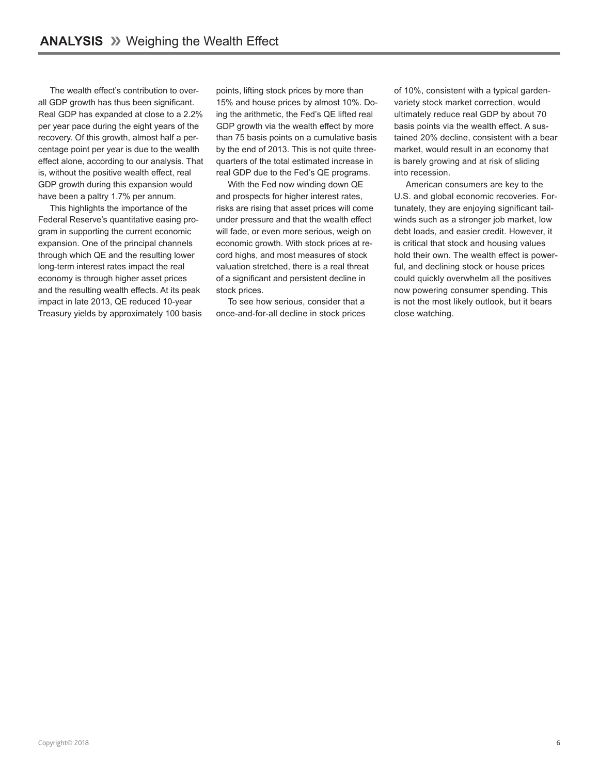The wealth effect's contribution to overall GDP growth has thus been significant. Real GDP has expanded at close to a 2.2% per year pace during the eight years of the recovery. Of this growth, almost half a percentage point per year is due to the wealth effect alone, according to our analysis. That is, without the positive wealth effect, real GDP growth during this expansion would have been a paltry 1.7% per annum.

This highlights the importance of the Federal Reserve's quantitative easing program in supporting the current economic expansion. One of the principal channels through which QE and the resulting lower long-term interest rates impact the real economy is through higher asset prices and the resulting wealth effects. At its peak impact in late 2013, QE reduced 10-year Treasury yields by approximately 100 basis points, lifting stock prices by more than 15% and house prices by almost 10%. Doing the arithmetic, the Fed's QE lifted real GDP growth via the wealth effect by more than 75 basis points on a cumulative basis by the end of 2013. This is not quite threequarters of the total estimated increase in real GDP due to the Fed's QE programs.

With the Fed now winding down QE and prospects for higher interest rates, risks are rising that asset prices will come under pressure and that the wealth effect will fade, or even more serious, weigh on economic growth. With stock prices at record highs, and most measures of stock valuation stretched, there is a real threat of a significant and persistent decline in stock prices.

To see how serious, consider that a once-and-for-all decline in stock prices of 10%, consistent with a typical gardenvariety stock market correction, would ultimately reduce real GDP by about 70 basis points via the wealth effect. A sustained 20% decline, consistent with a bear market, would result in an economy that is barely growing and at risk of sliding into recession.

American consumers are key to the U.S. and global economic recoveries. Fortunately, they are enjoying significant tailwinds such as a stronger job market, low debt loads, and easier credit. However, it is critical that stock and housing values hold their own. The wealth effect is powerful, and declining stock or house prices could quickly overwhelm all the positives now powering consumer spending. This is not the most likely outlook, but it bears close watching.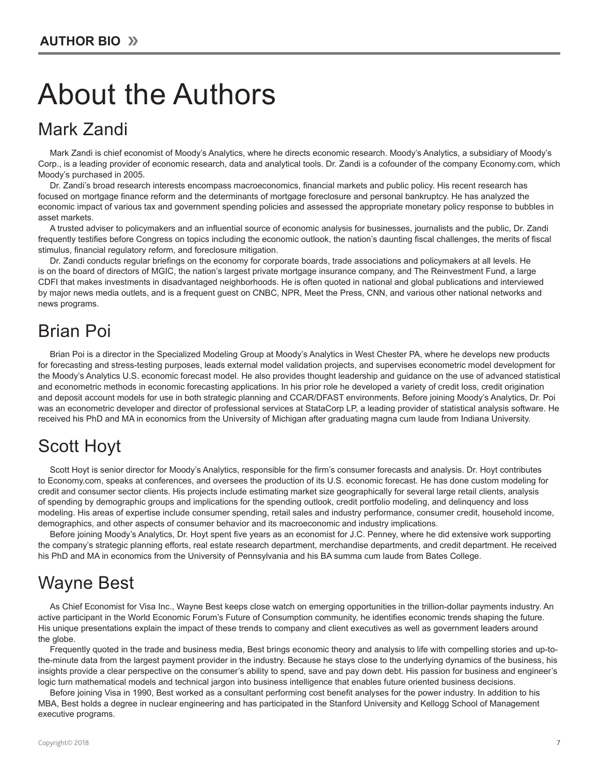# About the Authors

### Mark Zandi

Mark Zandi is chief economist of Moody's Analytics, where he directs economic research. Moody's Analytics, a subsidiary of Moody's Corp., is a leading provider of economic research, data and analytical tools. Dr. Zandi is a cofounder of the company Economy.com, which Moody's purchased in 2005.

Dr. Zandi's broad research interests encompass macroeconomics, financial markets and public policy. His recent research has focused on mortgage finance reform and the determinants of mortgage foreclosure and personal bankruptcy. He has analyzed the economic impact of various tax and government spending policies and assessed the appropriate monetary policy response to bubbles in asset markets.

A trusted adviser to policymakers and an influential source of economic analysis for businesses, journalists and the public, Dr. Zandi frequently testifies before Congress on topics including the economic outlook, the nation's daunting fiscal challenges, the merits of fiscal stimulus, financial regulatory reform, and foreclosure mitigation.

Dr. Zandi conducts regular briefings on the economy for corporate boards, trade associations and policymakers at all levels. He is on the board of directors of MGIC, the nation's largest private mortgage insurance company, and The Reinvestment Fund, a large CDFI that makes investments in disadvantaged neighborhoods. He is often quoted in national and global publications and interviewed by major news media outlets, and is a frequent guest on CNBC, NPR, Meet the Press, CNN, and various other national networks and news programs.

### Brian Poi

Brian Poi is a director in the Specialized Modeling Group at Moody's Analytics in West Chester PA, where he develops new products for forecasting and stress-testing purposes, leads external model validation projects, and supervises econometric model development for the Moody's Analytics U.S. economic forecast model. He also provides thought leadership and guidance on the use of advanced statistical and econometric methods in economic forecasting applications. In his prior role he developed a variety of credit loss, credit origination and deposit account models for use in both strategic planning and CCAR/DFAST environments. Before joining Moody's Analytics, Dr. Poi was an econometric developer and director of professional services at StataCorp LP, a leading provider of statistical analysis software. He received his PhD and MA in economics from the University of Michigan after graduating magna cum laude from Indiana University.

## Scott Hoyt

Scott Hoyt is senior director for Moody's Analytics, responsible for the firm's consumer forecasts and analysis. Dr. Hoyt contributes to Economy.com, speaks at conferences, and oversees the production of its U.S. economic forecast. He has done custom modeling for credit and consumer sector clients. His projects include estimating market size geographically for several large retail clients, analysis of spending by demographic groups and implications for the spending outlook, credit portfolio modeling, and delinquency and loss modeling. His areas of expertise include consumer spending, retail sales and industry performance, consumer credit, household income, demographics, and other aspects of consumer behavior and its macroeconomic and industry implications.

Before joining Moody's Analytics, Dr. Hoyt spent five years as an economist for J.C. Penney, where he did extensive work supporting the company's strategic planning efforts, real estate research department, merchandise departments, and credit department. He received his PhD and MA in economics from the University of Pennsylvania and his BA summa cum laude from Bates College.

### Wayne Best

As Chief Economist for Visa Inc., Wayne Best keeps close watch on emerging opportunities in the trillion-dollar payments industry. An active participant in the World Economic Forum's Future of Consumption community, he identifies economic trends shaping the future. His unique presentations explain the impact of these trends to company and client executives as well as government leaders around the globe.

Frequently quoted in the trade and business media, Best brings economic theory and analysis to life with compelling stories and up-tothe-minute data from the largest payment provider in the industry. Because he stays close to the underlying dynamics of the business, his insights provide a clear perspective on the consumer's ability to spend, save and pay down debt. His passion for business and engineer's logic turn mathematical models and technical jargon into business intelligence that enables future oriented business decisions.

Before joining Visa in 1990, Best worked as a consultant performing cost benefit analyses for the power industry. In addition to his MBA, Best holds a degree in nuclear engineering and has participated in the Stanford University and Kellogg School of Management executive programs.